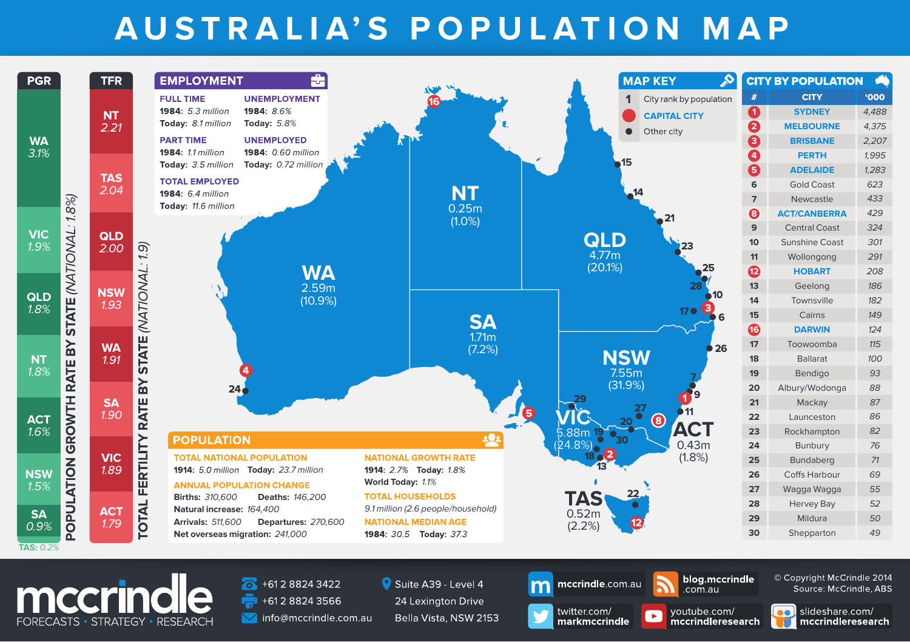## **AUSTRALIA'S POPULATION MAP**



Bella Vista, NSW 2153

info@mccrindle.com.au

FORECASTS · STRATEGY · RESEARCH

slideshare.com/ mccrindleresearch

voutube.com/

mccrindleresearch

 $\blacktriangleright$ 

twitter.com/

markmccrindle